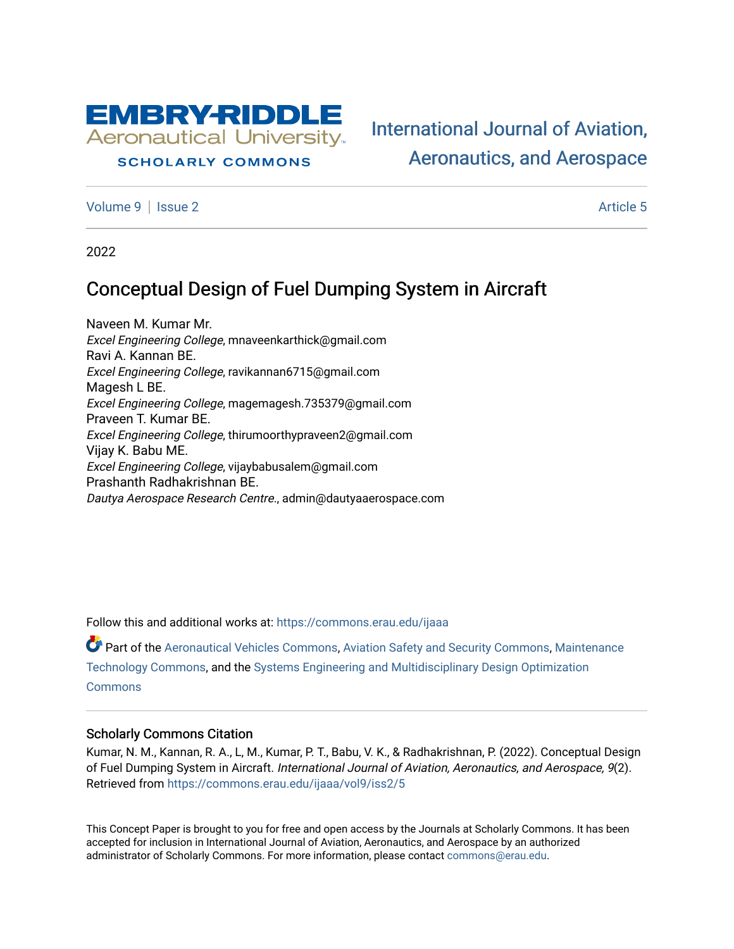

## **SCHOLARLY COMMONS**

[International Journal of Aviation,](https://commons.erau.edu/ijaaa)  [Aeronautics, and Aerospace](https://commons.erau.edu/ijaaa) 

[Volume 9](https://commons.erau.edu/ijaaa/vol9) | [Issue 2](https://commons.erau.edu/ijaaa/vol9/iss2) Article 5

2022

# Conceptual Design of Fuel Dumping System in Aircraft

Naveen M. Kumar Mr. Excel Engineering College, mnaveenkarthick@gmail.com Ravi A. Kannan BE. Excel Engineering College, ravikannan6715@gmail.com Magesh L BE. Excel Engineering College, magemagesh.735379@gmail.com Praveen T. Kumar BE. Excel Engineering College, thirumoorthypraveen2@gmail.com Vijay K. Babu ME. Excel Engineering College, vijaybabusalem@gmail.com Prashanth Radhakrishnan BE. Dautya Aerospace Research Centre., admin@dautyaaerospace.com

Follow this and additional works at: [https://commons.erau.edu/ijaaa](https://commons.erau.edu/ijaaa?utm_source=commons.erau.edu%2Fijaaa%2Fvol9%2Fiss2%2F5&utm_medium=PDF&utm_campaign=PDFCoverPages) 

Part of the [Aeronautical Vehicles Commons,](https://network.bepress.com/hgg/discipline/219?utm_source=commons.erau.edu%2Fijaaa%2Fvol9%2Fiss2%2F5&utm_medium=PDF&utm_campaign=PDFCoverPages) [Aviation Safety and Security Commons,](https://network.bepress.com/hgg/discipline/1320?utm_source=commons.erau.edu%2Fijaaa%2Fvol9%2Fiss2%2F5&utm_medium=PDF&utm_campaign=PDFCoverPages) [Maintenance](https://network.bepress.com/hgg/discipline/1310?utm_source=commons.erau.edu%2Fijaaa%2Fvol9%2Fiss2%2F5&utm_medium=PDF&utm_campaign=PDFCoverPages)  [Technology Commons,](https://network.bepress.com/hgg/discipline/1310?utm_source=commons.erau.edu%2Fijaaa%2Fvol9%2Fiss2%2F5&utm_medium=PDF&utm_campaign=PDFCoverPages) and the [Systems Engineering and Multidisciplinary Design Optimization](https://network.bepress.com/hgg/discipline/221?utm_source=commons.erau.edu%2Fijaaa%2Fvol9%2Fiss2%2F5&utm_medium=PDF&utm_campaign=PDFCoverPages)  **[Commons](https://network.bepress.com/hgg/discipline/221?utm_source=commons.erau.edu%2Fijaaa%2Fvol9%2Fiss2%2F5&utm_medium=PDF&utm_campaign=PDFCoverPages)** 

#### Scholarly Commons Citation

Kumar, N. M., Kannan, R. A., L, M., Kumar, P. T., Babu, V. K., & Radhakrishnan, P. (2022). Conceptual Design of Fuel Dumping System in Aircraft. International Journal of Aviation, Aeronautics, and Aerospace, 9(2). Retrieved from [https://commons.erau.edu/ijaaa/vol9/iss2/5](https://commons.erau.edu/ijaaa/vol9/iss2/5?utm_source=commons.erau.edu%2Fijaaa%2Fvol9%2Fiss2%2F5&utm_medium=PDF&utm_campaign=PDFCoverPages)

This Concept Paper is brought to you for free and open access by the Journals at Scholarly Commons. It has been accepted for inclusion in International Journal of Aviation, Aeronautics, and Aerospace by an authorized administrator of Scholarly Commons. For more information, please contact [commons@erau.edu](mailto:commons@erau.edu).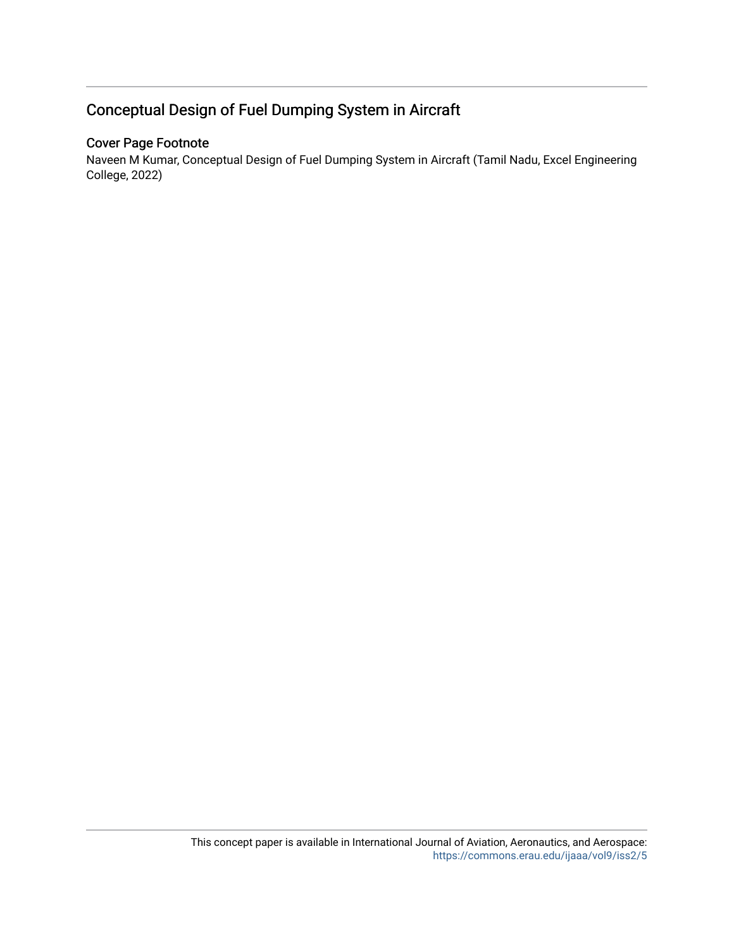# Conceptual Design of Fuel Dumping System in Aircraft

# Cover Page Footnote

Naveen M Kumar, Conceptual Design of Fuel Dumping System in Aircraft (Tamil Nadu, Excel Engineering College, 2022)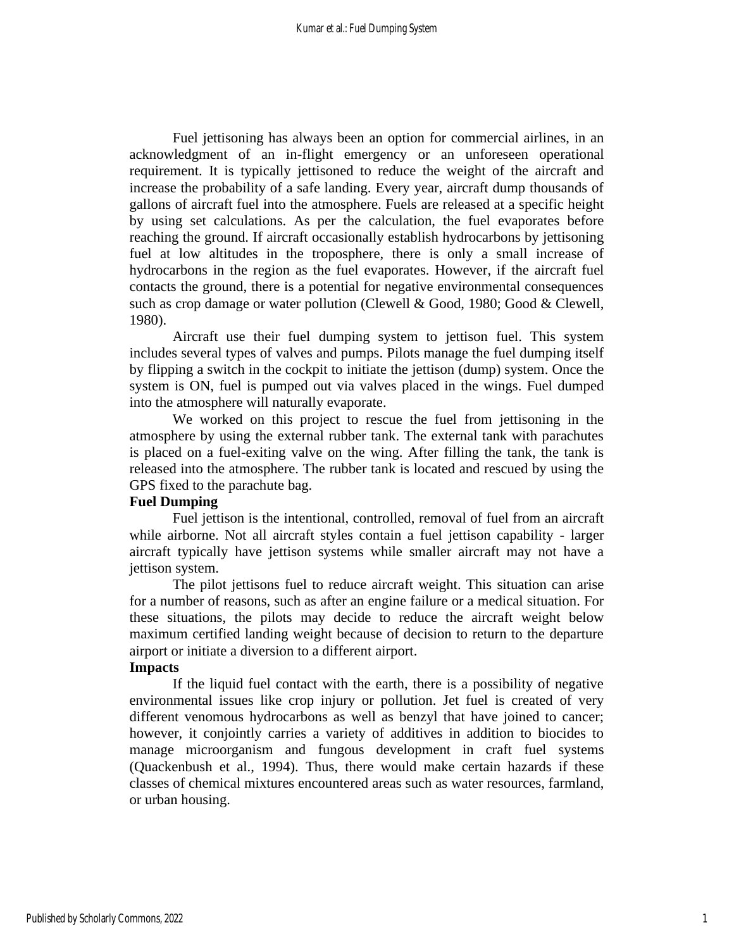Fuel jettisoning has always been an option for commercial airlines, in an acknowledgment of an in-flight emergency or an unforeseen operational requirement. It is typically jettisoned to reduce the weight of the aircraft and increase the probability of a safe landing. Every year, aircraft dump thousands of gallons of aircraft fuel into the atmosphere. Fuels are released at a specific height by using set calculations. As per the calculation, the fuel evaporates before reaching the ground. If aircraft occasionally establish hydrocarbons by jettisoning fuel at low altitudes in the troposphere, there is only a small increase of hydrocarbons in the region as the fuel evaporates. However, if the aircraft fuel contacts the ground, there is a potential for negative environmental consequences such as crop damage or water pollution (Clewell & Good, 1980; Good & Clewell, 1980).

Aircraft use their fuel dumping system to jettison fuel. This system includes several types of valves and pumps. Pilots manage the fuel dumping itself by flipping a switch in the cockpit to initiate the jettison (dump) system. Once the system is ON, fuel is pumped out via valves placed in the wings. Fuel dumped into the atmosphere will naturally evaporate.

We worked on this project to rescue the fuel from jettisoning in the atmosphere by using the external rubber tank. The external tank with parachutes is placed on a fuel-exiting valve on the wing. After filling the tank, the tank is released into the atmosphere. The rubber tank is located and rescued by using the GPS fixed to the parachute bag.

### **Fuel Dumping**

Fuel jettison is the intentional, controlled, removal of fuel from an aircraft while airborne. Not all aircraft styles contain a fuel jettison capability - larger aircraft typically have jettison systems while smaller aircraft may not have a jettison system.

The pilot jettisons fuel to reduce aircraft weight. This situation can arise for a number of reasons, such as after an engine failure or a medical situation. For these situations, the pilots may decide to reduce the aircraft weight below maximum certified landing weight because of decision to return to the departure airport or initiate a diversion to a different airport.

# **Impacts**

If the liquid fuel contact with the earth, there is a possibility of negative environmental issues like crop injury or pollution. Jet fuel is created of very different venomous hydrocarbons as well as benzyl that have joined to cancer; however, it conjointly carries a variety of additives in addition to biocides to manage microorganism and fungous development in craft fuel systems (Quackenbush et al., 1994). Thus, there would make certain hazards if these classes of chemical mixtures encountered areas such as water resources, farmland, or urban housing.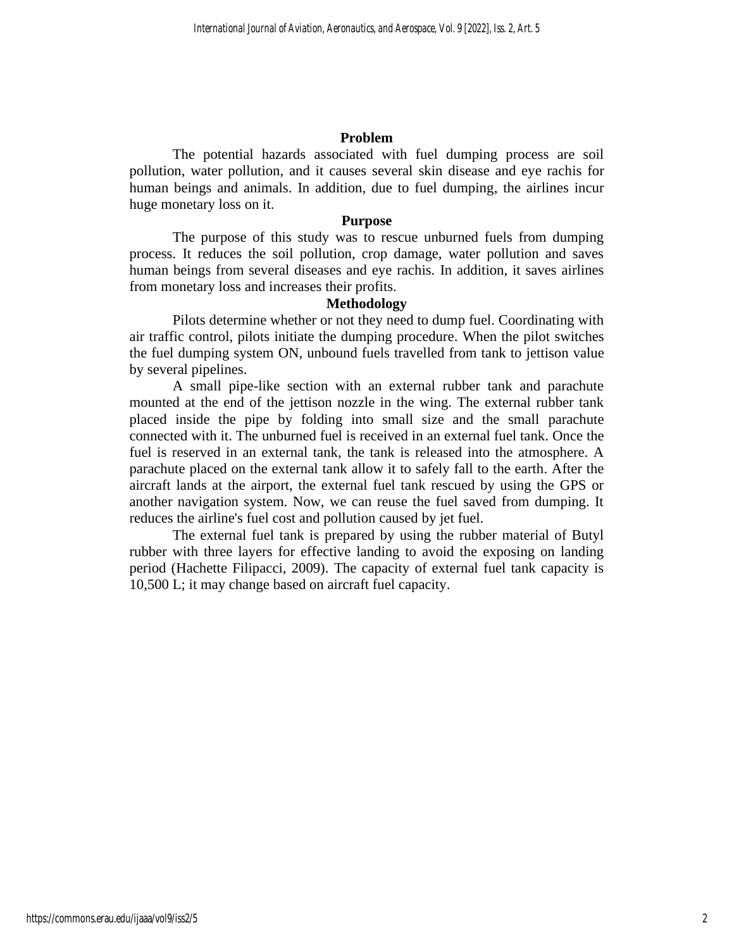# **Problem**

The potential hazards associated with fuel dumping process are soil pollution, water pollution, and it causes several skin disease and eye rachis for human beings and animals. In addition, due to fuel dumping, the airlines incur huge monetary loss on it.

#### **Purpose**

The purpose of this study was to rescue unburned fuels from dumping process. It reduces the soil pollution, crop damage, water pollution and saves human beings from several diseases and eye rachis. In addition, it saves airlines from monetary loss and increases their profits.

# **Methodology**

Pilots determine whether or not they need to dump fuel. Coordinating with air traffic control, pilots initiate the dumping procedure. When the pilot switches the fuel dumping system ON, unbound fuels travelled from tank to jettison value by several pipelines.

A small pipe-like section with an external rubber tank and parachute mounted at the end of the jettison nozzle in the wing. The external rubber tank placed inside the pipe by folding into small size and the small parachute connected with it. The unburned fuel is received in an external fuel tank. Once the fuel is reserved in an external tank, the tank is released into the atmosphere. A parachute placed on the external tank allow it to safely fall to the earth. After the aircraft lands at the airport, the external fuel tank rescued by using the GPS or another navigation system. Now, we can reuse the fuel saved from dumping. It reduces the airline's fuel cost and pollution caused by jet fuel.

The external fuel tank is prepared by using the rubber material of Butyl rubber with three layers for effective landing to avoid the exposing on landing period (Hachette Filipacci, 2009). The capacity of external fuel tank capacity is 10,500 L; it may change based on aircraft fuel capacity.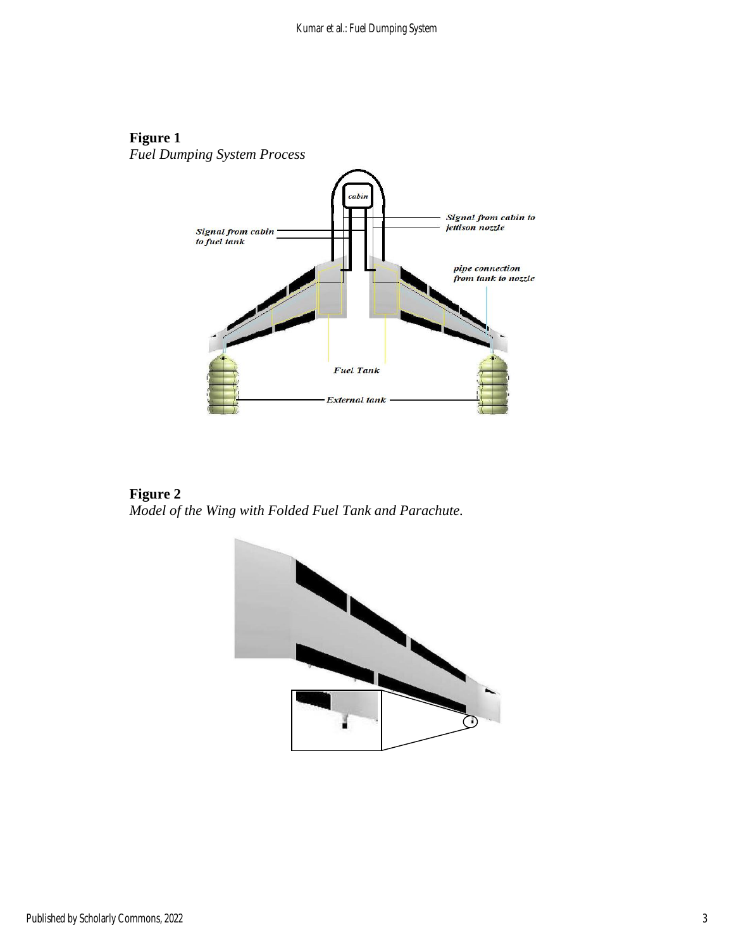# **Figure 1**

*Fuel Dumping System Process*



**Figure 2** *Model of the Wing with Folded Fuel Tank and Parachute.*

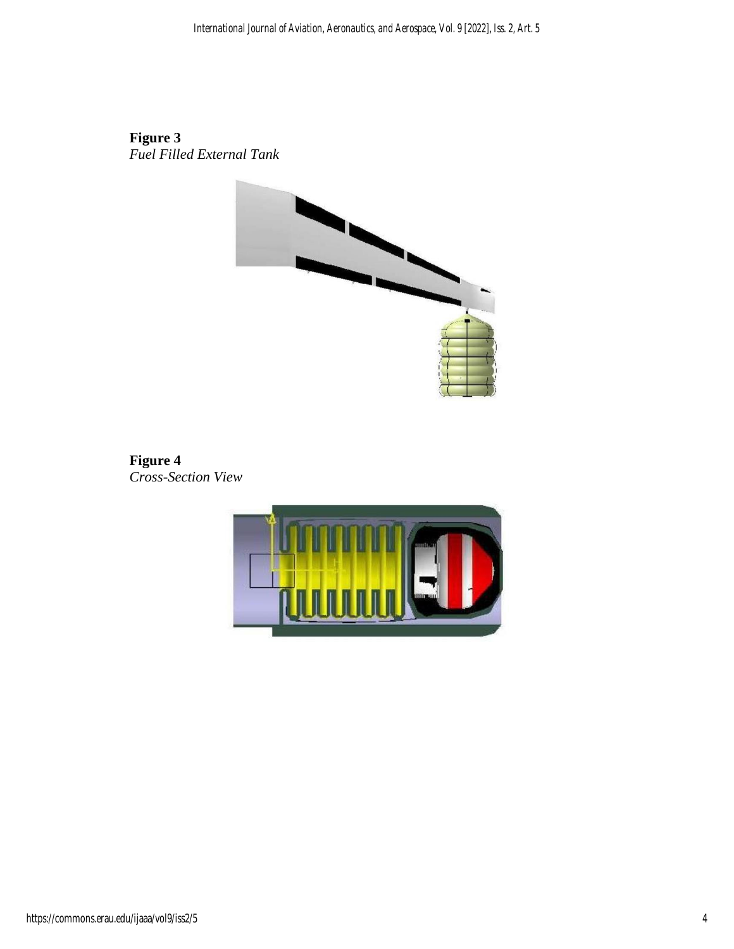# **Figure 3**

*Fuel Filled External Tank*



**Figure 4** *Cross-Section View*

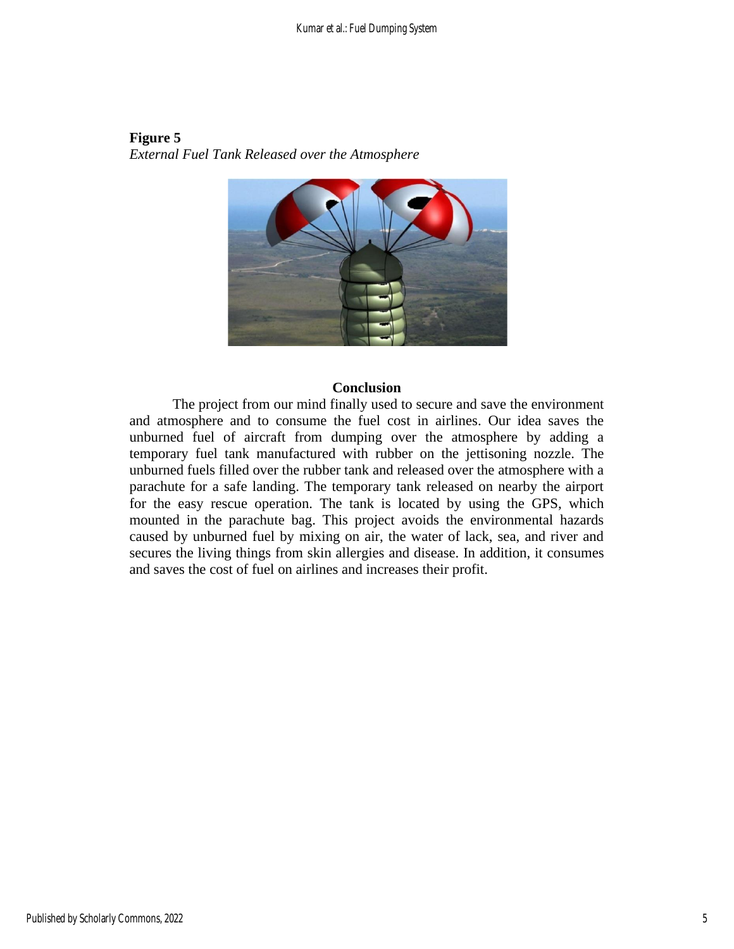## **Figure 5** *External Fuel Tank Released over the Atmosphere*



#### **Conclusion**

The project from our mind finally used to secure and save the environment and atmosphere and to consume the fuel cost in airlines. Our idea saves the unburned fuel of aircraft from dumping over the atmosphere by adding a temporary fuel tank manufactured with rubber on the jettisoning nozzle. The unburned fuels filled over the rubber tank and released over the atmosphere with a parachute for a safe landing. The temporary tank released on nearby the airport for the easy rescue operation. The tank is located by using the GPS, which mounted in the parachute bag. This project avoids the environmental hazards caused by unburned fuel by mixing on air, the water of lack, sea, and river and secures the living things from skin allergies and disease. In addition, it consumes and saves the cost of fuel on airlines and increases their profit.